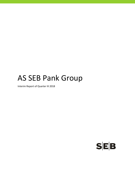# AS SEB Pank Group

Interim Report of Quarter III 2018

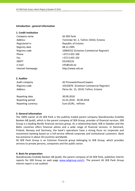#### **Introduction ‐ general information**

#### **1. Credit institution**

| Company name      | AS SEB Pank                             |
|-------------------|-----------------------------------------|
| Address           | Tornimäe Str. 2, Tallinn 15010, Estonia |
| Registered in     | Republic of Estonia                     |
| Registry date     | 08.12.1995                              |
| Registry code     | 10004252 (Estonian Commercial Register) |
| Phone             | +372 6 655 100                          |
| Fax               | +372 6 655 102                          |
| <b>SWIFT</b>      | EEUHEE2X                                |
| e-mail            | info@seb.ee                             |
| Internet homepage | http://www.seb.ee                       |
|                   |                                         |

#### **2. Auditor**

| Audit company | AS PricewaterhouseCoopers               |
|---------------|-----------------------------------------|
| Registry code | 10142876 (Estonian Commercial Register) |
| Address       | Pärnu Str. 15, 10141 Tallinn, Estonia   |
|               |                                         |

Reporting date 30.09.2018 Reporting period 01.01.2018 ‐ 30.09.2018 Reporting currency **EUR** Euro (EUR), millions

### **3. General information**

The 100% owner of AS SEB Pank is the publicly traded parent company Skandinaviska Enskilda Banken AB (publ), which is the parent company of SEB Group, provider of financial services. SEB Group is a leading Nordic financial services group. As a relationship bank, SEB in Sweden and the Baltic countries offers financial advice and a wide range of financial services. In Denmark, Finland, Norway and Germany, the bank's operations have a strong focus on corporate and investment banking based on a full-service offered corporate and institutional customers. Bank has presence in about 20 countries worldwide.

AS SEB Pank Group is an Estonian financial group belonging to SEB Group, which provides services to private persons, companies and the public sector.

#### **4. Basis for preparation**

Skandinaviska Enskilda Banken AB (publ), the parent company of AS SEB Pank, publishes interim reports for SEB Group on web page www.sebgroup.com/ir. The present AS SEB Pank Group interim report is not audited.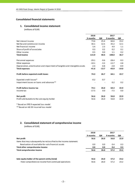## **Consolidated financial statements**

#### **1. Consolidated income statement**

(millions of EUR)

|                                                                             | 2018     |         | 2017     |         |
|-----------------------------------------------------------------------------|----------|---------|----------|---------|
|                                                                             |          |         |          |         |
|                                                                             | 9 months | QIII    | 9 months | QIII    |
| Net interest income                                                         | 73.6     | 25.4    | 66.6     | 23.2    |
| Net fee and commission income                                               | 36.1     | 12.5    | 35.2     | 12.1    |
| Net financial income                                                        | 5.4      | 2.3     | 4.9      | 1.1     |
| Share of profit of associates                                               | 0.3      | 0.2     | 0.2      | 0.1     |
| Other income                                                                | 0.5      | 0.0     | 1.1      | 0.2     |
| <b>Total income</b>                                                         | 115.9    | 40.4    | 108.0    | 36.7    |
| Personnel expenses                                                          | $-29.1$  | $-9.6$  | $-28.4$  | $-9.3$  |
| Other expenses                                                              | $-10.1$  | $-3.3$  | $-12.7$  | $-3.8$  |
| Depreciation, amortisation and impairment of tangible and intangible assets | $-2.4$   | $-0.8$  | $-2.8$   | $-0.9$  |
| <b>Total expenses</b>                                                       | $-41.6$  | $-13.7$ | $-43.9$  | $-14.0$ |
| Profit before expected credit losses                                        | 74.3     | 26.7    | 64.1     | 22.7    |
| Expected credit losses*                                                     | $-0.2$   | $-0.7$  |          |         |
| Impairment losses on loans and advances**                                   |          |         | 0.2      | 0.2     |
| Profit before income tax                                                    | 74.1     | 26.0    | 64.3     | 22.9    |
| Income tax                                                                  | $-17.5$  | 0.0     | $-7.5$   | 0.0     |
| Net profit                                                                  | 56.6     | 26.0    | 56.8     | 22.9    |
| Profit attributable to the sole equity holder                               | 56.6     | 26.0    | 56.8     | 22.9    |

\* Based on IFRS 9 expected loss model

\*\* Based on IAS 39 incurred loss model

## **2. Consolidated statement of comprehensive income**

(millions of EUR)

|                                                                      | 2018     |      | 2017     |      |
|----------------------------------------------------------------------|----------|------|----------|------|
|                                                                      | 9 months | QIII | 9 months | QIII |
| Net profit                                                           | 56.6     | 26.0 | 56.8     | 22.9 |
| Items that may subsequently be reclassified to the income statement: |          |      |          |      |
| Revaluation of available-for-sale financial assets                   | 0.0      | 0.0  | 0.4      | 0.3  |
| Total other comprehensive income                                     | 0.0      | 0.0  | 0.4      | 0.3  |
| Total comprehensive income                                           | 56.6     | 26.0 | 57.2     | 23.2 |
| Sole equity holder of the parent entity (total)                      | 56.6     | 26.0 | 57.2     | 23.2 |
| -Total comprehensive income from continued operations                | 56.6     | 26.0 | 57.2     | 23.2 |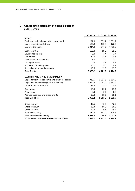# **3. Consolidated statement of financial position**

(millions of EUR)

|                                                     | 30.09.18    |            | 01.01.18 31.12.17 |
|-----------------------------------------------------|-------------|------------|-------------------|
| <b>ASSETS</b>                                       |             |            |                   |
| Cash and cash balances with central bank            | 291.8       | 1 0 5 1 .2 | 1 0 5 1 .2        |
| Loans to credit institutions                        | 582.9       | 172.3      | 172.3             |
| Loans to the public                                 | 5 044.0     | 4 747.8    | 4751.0            |
| Debt securities                                     | 100.4       | 89.2       | 89.2              |
| Equity instruments                                  | 9.0         | 7.4        | 7.4               |
| Derivatives                                         | 20.3        | 23.5       | 23.5              |
| Investments in associates                           | 1.3         | 1.0        | 1.0               |
| Intangible assets                                   | 4.8         | 3.9        | 3.9               |
| Property, plant equipment                           | 10.1        | 9.7        | 9.7               |
| Accruals and prepaid expenses                       | 13.6        | 15.0       | 15.0              |
| <b>Total Assets</b>                                 | 6078.2      | 6 1 2 1 .0 | 6 1 2 4 .2        |
| <b>LIABILITIES AND SHAREHOLDERS' EQUITY</b>         |             |            |                   |
| Deposits from central banks and credit institutions | 923.5       | 1 2 1 4 .5 | 1 2 1 4 .5        |
| Deposits and borrowings from the public             | 4 0 1 2 . 3 | 3 747.2    | 3 747.2           |
| Other financial liabilities                         | 77.4        | 78.7       | 78.7              |
| Derivatives                                         | 18.9        | 23.2       | 23.2              |
| Provisions                                          | 0.3         | 0.0        | 0.0               |
| Accrued expenses and prepayments                    | 19.8        | 18.1       | 18.1              |
| <b>Total Liabilities</b>                            | 5 0 5 2 . 2 | 5 0 8 1 .7 | 5 081.7           |
| Share capital                                       | 42.5        | 42.5       | 42.5              |
| Share premium                                       | 86.3        | 86.3       | 86.3              |
| Other reserves                                      | 19.4        | 19.4       | 19.4              |
| Retained earnings                                   | 877.8       | 891.1      | 894.3             |
| <b>Total shareholders' equity</b>                   | 1026.0      | 1039.3     | 1042.5            |
| TOTAL LIABILITIES AND SHAREHOLDERS' EQUITY          | 6078.2      | 6 1 2 1 .0 | 6 1 2 4 .2        |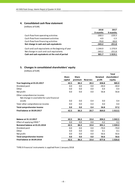#### **4. Consolidated cash flow statement**

(millions of EUR)

|                                                   | 2018       | 2017      |
|---------------------------------------------------|------------|-----------|
|                                                   | 9 months   | 9 months  |
| Cash flow from operating activities               | $-268.3$   | $-220.3$  |
| Cash flow from investment activities              | $-4.9$     | $-1.5$    |
| Cash flow from financing activities               | $-70.0$    | $-30.0$   |
| Net change in cash and cash equivalents           | $-343.2$   | $-251.8$  |
| Cash and cash equivalents at the beginnig of year | 1 2 4 4 .9 | 1 2 7 0.9 |
| Net change in cash and cash equivalents           | $-343.2$   | $-251.8$  |
| Cash and cash equivalents at the end of period    | 901.7      | 1019.1    |
|                                                   |            |           |

# **5. Changes in consolidated shareholders' equity**

(millions of EUR)

|                                                                           |              |              |                 |                 | <b>Total</b>  |
|---------------------------------------------------------------------------|--------------|--------------|-----------------|-----------------|---------------|
|                                                                           | <b>Share</b> | <b>Share</b> |                 | <b>Retained</b> | shareholders' |
|                                                                           | capital      | premium      | <b>Reserves</b> | profit          | equity        |
| Year beginning at 01.01.2017                                              | 42.5         | 86.3         | 20.3            | 836.8           | 985.9         |
| Dividend paid                                                             | 0.0          | 0.0          | 0.0             | $-30.0$         | $-30.0$       |
| Other                                                                     | 0.0          | 0.0          | 0.0             | 0.4             | 0.4           |
| Net profit                                                                | 0.0          | 0.0          | 0.0             | 56.8            | 56.8          |
| Other comprehensive income:<br>Net change in available-for-sale financial |              |              |                 |                 |               |
| assets                                                                    | 0.0          | 0.0          | 0.4             | 0.0             | 0.4           |
| Total other comprehensive income                                          | 0.0          | 0.0          | 0.4             | 0.0             | 0.4           |
| <b>Total comprehensive income</b>                                         | 0.0          | 0.0          | 0.4             | 56.8            | 57.2          |
| Final balance at 30.09.2017                                               | 42.5         | 86.3         | 20.7            | 864.0           | 1013.5        |

| <b>Balance at 31.12.2017</b>      | 42.5 | 86.3 | 19.4 | 894.3   | 1 042.5     |
|-----------------------------------|------|------|------|---------|-------------|
| Effect of applying IFRS9 *        | 0.0  | 0.0  | 0.0  | $-3.2$  | $-3.2$      |
| Restated balance at 01.01.2018    | 42.5 | 86.3 | 19.4 | 891.1   | 1 0 3 9 . 3 |
| Dividend paid                     | 0.0  | 0.0  | 0.0  | $-70.0$ | $-70.0$     |
| Other                             | 0.0  | 0.0  | 0.0  | 0.1     | 0.1         |
| Net profit                        | 0.0  | 0.0  | 0.0  | 56.6    | 56.6        |
| <b>Total comprehensive income</b> | 0.0  | 0.0  | 0.0  | 56.6    | 56.6        |
| Final balance at 30.09.2018       | 42.5 | 86.3 | 19.4 | 877.8   | 1026.0      |

\*IFRS 9 Financial instruments is applied from 1 January 2018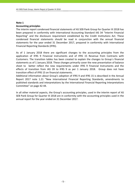#### **Note 1**

#### **Accounting principles**

The interim report condensed financial statements of AS SEB Pank Group for Quarter III 2018 has been prepared in conformity with International Accounting Standard IAS 34 "Interim Financial Reporting" and the disclosure requirement established by the Credit Institutions Act. These condensed financial statements should be read in conjunction with the annual financial statements for the year ended 31 December 2017, prepared in conformity with International Financial Reporting Standards (IFRS).

As of 1 January 2018 there are significant changes to the accounting principles from the application of IFRS 9 Financial Instruments and of IFRS 15 Revenue from Contracts with Customers. The transition tables has been created to explain the changes to Group`s financial statements as of 1 January 2018. These changes primarily cover the new presentation of balance sheet to better reflect the new requirements under IFRS 9 Financial Instruments and the effects of transition from IAS 39 to IFRS 9 as per 1 January 2018. Group does not have transition effect of IFRS 15 on financial statements.

Additional information about Group's adoption of IFRS 9 and IFRS 15 is described in the Annual Report 2017 note 1.21 "New International Financial Reporting Standards, amendments to published standards and interpretations by the International Financial Reporting Interpretations Committee" on page 42‐44.

In all other material aspects, the Group's accounting principles, used in the interim report of AS SEB Pank Group for Quarter III 2018 are in conformity with the accounting principles used in the annual report for the year ended on 31 December 2017.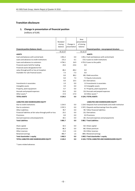## **Transition disclosure**

# **1. Change in presentation of financial position**

(millions of EUR)

|                                                            |            |              | <b>New</b>   |                                                           |
|------------------------------------------------------------|------------|--------------|--------------|-----------------------------------------------------------|
|                                                            | Restated   |              | presentation |                                                           |
|                                                            | closing    | Change in    | of closing   |                                                           |
|                                                            | balance    | presentation | balance      |                                                           |
| Financial position (balance sheet)                         |            |              |              | Financial position - new proposed structure               |
|                                                            | 31.12.17   |              | 31.12.17     |                                                           |
| <b>ASSETS</b>                                              |            |              |              | <b>ASSETS</b>                                             |
| Cash and balances with central bank                        | 1051.2     | 0.0          |              | 1051.2 Cash and balances with central bank                |
| Loans and advances to credit institutions                  | 172.2      | 0.1          |              | 172.3 Loans to credit institutions                        |
| Loans and advances to customers                            | 4734.1     | 16.9         |              | 4751.0 Loans to the public                                |
| Financial assets held for trading                          | 23.6       | $-23.6$      | 0.0          |                                                           |
| Financial assets designated at fair                        |            |              |              |                                                           |
| value through profit or loss at inception                  | 89.2       | $-89.2$      | 0.0          |                                                           |
| Available-for-sale financial assets                        | 7.3        | $-7.3$       | 0.0          |                                                           |
|                                                            | 0.0        | 89.2         |              | 89.2 Debt securities                                      |
|                                                            | 0.0        | 7.4          |              | 7.4 Equity instruments                                    |
|                                                            | 0.0        | 23.5         |              | 23.5 Derivatives                                          |
| Investments in associates                                  | 1.0        | 0.0          |              | 1.0 Investments in associates                             |
| Intangible assets                                          | 3.9        | 0.0          |              | 3.9 Intangible assets                                     |
| Property, plant equipment                                  | 9.7        | 0.0          |              | 9.7 Property, plant equipment                             |
| Accruals and prepaid expenses                              | 15.0       | 0.0          |              | 15.0 Accruals and prepaid expenses                        |
| Other assets *                                             | 17.0       | $-17.0$      |              | 0.0 Other assets *                                        |
| <b>TOTAL ASSETS</b>                                        | 6 1 24.2   | 0.0          |              | <b>6124.2 TOTAL ASSETS</b>                                |
|                                                            |            |              |              |                                                           |
| LIABILITIES AND SHAREHOLDERS EQUITY                        |            |              |              | LIABILITIES AND SHAREHOLDERS EQUITY                       |
| Due to credit institutions                                 | 1 2 1 4 .5 | 0.0          |              | 1214.5 Deposits from central banks and credit institution |
| Due to customers                                           | 3747.2     | 0.0          |              | 3747.2 Deposits and borrowings from the public            |
| <b>Other Liabilities</b>                                   | 78.7       | 0.0          |              | 78.7 Other financial liabilities                          |
| Financial liabilities at fair value through profit or loss | 23.2       | 0.0          |              | 23.2 Derivatives                                          |
| Provisions                                                 | 0.0        | 0.0          |              | 0.0 Provisions                                            |
| Accrued expenses and prepayments                           | 18.1       | 0.0          |              | 18.1 Accrued expenses and prepayments                     |
| <b>Total Liabilities</b>                                   | 5 081.7    | 0.0          |              | 5081.7 Total Liabilities                                  |
|                                                            |            |              |              |                                                           |
| Share capital                                              | 42.5       | 0.0          |              | 42.5 Share capital                                        |
| Share premium                                              | 86.3       | 0.0          |              | 86.3 Share premium                                        |
| Other reserves                                             | 21.0       | $-1.6$       |              | 19.4 Other reserves                                       |
| Retained earnings                                          | 892.7      | 1.6          |              | 894.3 Retained earnings                                   |
| Total shareholder's equity                                 | 1042.5     | 0.0          |              | 1042.5 Total shareholder's equity                         |
| TOTAL LIABILITIES AND SHAREHOLDERS EQUITY                  | 6 124.2    | 0.0          |              | <b>6 124.2 TOTAL LIABILITIES AND SHAREHOLDERS EQUITY</b>  |

\* Loans related advances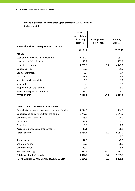## **2. Financial position ‐ reconciliation upon transition IAS 39 to IFRS 9** (millions of EUR)

|                                                     | <b>New</b>                 |               |            |
|-----------------------------------------------------|----------------------------|---------------|------------|
|                                                     | presentation<br>of closing | Change in ECL | Opening    |
|                                                     | balance                    | allowances    | balance    |
| Financial position - new proposed structure         |                            |               |            |
|                                                     | 31.12.17                   |               | 01.01.18   |
| <b>ASSETS</b>                                       |                            |               |            |
| Cash and balances with central bank                 | 1051.2                     |               | 1051.2     |
| Loans to credit institutions                        | 172.3                      |               | 172.3      |
| Loans to the public                                 | 4751.0                     | $-3.2$        | 4747.8     |
| Debt securities                                     | 89.2                       |               | 89.2       |
| <b>Equity instruments</b>                           | 7.4                        |               | 7.4        |
| Derivatives                                         | 23.5                       |               | 23.5       |
| Investments in associates                           | 1.0                        |               | 1.0        |
| Intangible assets                                   | 3.9                        |               | 3.9        |
| Property, plant equipment                           | 9.7                        |               | 9.7        |
| Accruals and prepaid expenses                       | 15.0                       |               | 15.0       |
| <b>TOTAL ASSETS</b>                                 | 6 1 24.2                   | $-3.2$        | 6 121.0    |
|                                                     |                            |               |            |
| LIABILITIES AND SHAREHOLDERS EQUITY                 |                            |               |            |
| Deposits from central banks and credit institutions | 1 2 1 4 .5                 |               | 1 2 1 4 .5 |
| Deposits and borrowings from the public             | 3747.2                     |               | 3747.2     |
| Other financial liabilities                         | 78.7                       |               | 78.7       |
| Derivatives                                         | 23.2                       |               | 23.2       |
| Provisions                                          | 0.0                        |               | 0.0        |
| Accrued expenses and prepayments                    | 18.1                       |               | 18.1       |
| <b>Total Liabilities</b>                            | 5 0 8 1.7                  | 0.0           | 5 081.7    |
|                                                     |                            |               | 0.0        |
| Share capital                                       | 42.5                       |               | 42.5       |
| Share premium                                       | 86.3                       |               | 86.3       |
| Other reserves                                      | 19.4                       |               | 19.4       |
| Retained earnings                                   | 894.3                      | $-3.2$        | 891.1      |
| Total shareholder's equity                          | 1 0 4 2.5                  | $-3.2$        | 1039.3     |
| TOTAL LIABILITIES AND SHAREHOLDERS EQUITY           | 6 1 24.2                   | $-3.2$        | 6 121.0    |